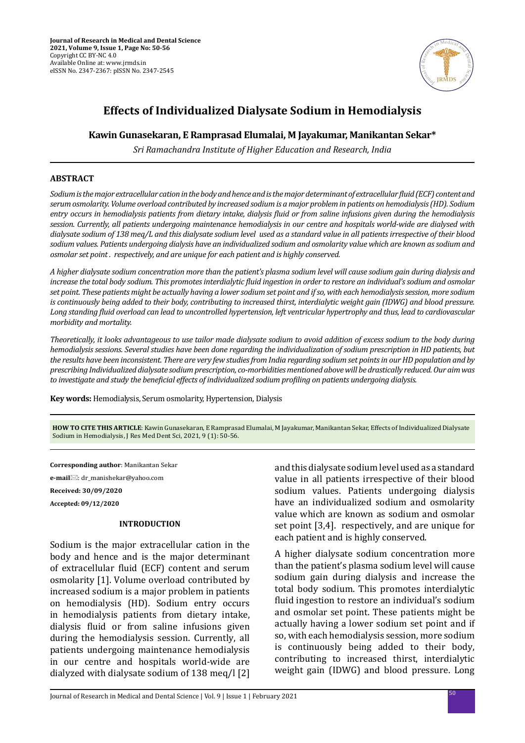

# **Effects of Individualized Dialysate Sodium in Hemodialysis**

### **Kawin Gunasekaran, E Ramprasad Elumalai, M Jayakumar, Manikantan Sekar\***

*Sri Ramachandra Institute of Higher Education and Research, India*

#### **ABSTRACT**

*Sodium is the major extracellular cation in the body and hence and is the major determinant of extracellular fluid (ECF) content and serum osmolarity. Volume overload contributed by increased sodium is a major problem in patients on hemodialysis (HD). Sodium entry occurs in hemodialysis patients from dietary intake, dialysis fluid or from saline infusions given during the hemodialysis session. Currently, all patients undergoing maintenance hemodialysis in our centre and hospitals world-wide are dialysed with dialysate sodium of 138 meq/L and this dialysate sodium level used as a standard value in all patients irrespective of their blood sodium values. Patients undergoing dialysis have an individualized sodium and osmolarity value which are known as sodium and osmolar set point . respectively, and are unique for each patient and is highly conserved.*

*A higher dialysate sodium concentration more than the patient's plasma sodium level will cause sodium gain during dialysis and increase the total body sodium. This promotes interdialytic fluid ingestion in order to restore an individual's sodium and osmolar set point. These patients might be actually having a lower sodium set point and if so, with each hemodialysis session, more sodium is continuously being added to their body, contributing to increased thirst, interdialytic weight gain (IDWG) and blood pressure. Long standing fluid overload can lead to uncontrolled hypertension, left ventricular hypertrophy and thus, lead to cardiovascular morbidity and mortality.*

*Theoretically, it looks advantageous to use tailor made dialysate sodium to avoid addition of excess sodium to the body during hemodialysis sessions. Several studies have been done regarding the individualization of sodium prescription in HD patients, but the results have been inconsistent. There are very few studies from India regarding sodium set points in our HD population and by prescribing Individualized dialysate sodium prescription, co-morbidities mentioned above will be drastically reduced. Our aim was to investigate and study the beneficial effects of individualized sodium profiling on patients undergoing dialysis.*

**Key words:** Hemodialysis, Serum osmolarity, Hypertension, Dialysis

**HOW TO CITE THIS ARTICLE**: Kawin Gunasekaran, E Ramprasad Elumalai, M Jayakumar, Manikantan Sekar, Effects of Individualized Dialysate Sodium in Hemodialysis, J Res Med Dent Sci, 2021, 9 (1): 50-56.

**Corresponding author**: Manikantan Sekar **e-mail**: dr\_manishekar@yahoo.com **Received: 30/09/2020 Accepted: 09/12/2020**

#### **INTRODUCTION**

Sodium is the major extracellular cation in the body and hence and is the major determinant of extracellular fluid (ECF) content and serum osmolarity [1]. Volume overload contributed by increased sodium is a major problem in patients on hemodialysis (HD). Sodium entry occurs in hemodialysis patients from dietary intake, dialysis fluid or from saline infusions given during the hemodialysis session. Currently, all patients undergoing maintenance hemodialysis in our centre and hospitals world-wide are dialyzed with dialysate sodium of 138 meq/l [2] and this dialysate sodium level used as a standard value in all patients irrespective of their blood sodium values. Patients undergoing dialysis have an individualized sodium and osmolarity value which are known as sodium and osmolar set point [3,4]. respectively, and are unique for each patient and is highly conserved.

A higher dialysate sodium concentration more than the patient's plasma sodium level will cause sodium gain during dialysis and increase the total body sodium. This promotes interdialytic fluid ingestion to restore an individual's sodium and osmolar set point. These patients might be actually having a lower sodium set point and if so, with each hemodialysis session, more sodium is continuously being added to their body, contributing to increased thirst, interdialytic weight gain (IDWG) and blood pressure. Long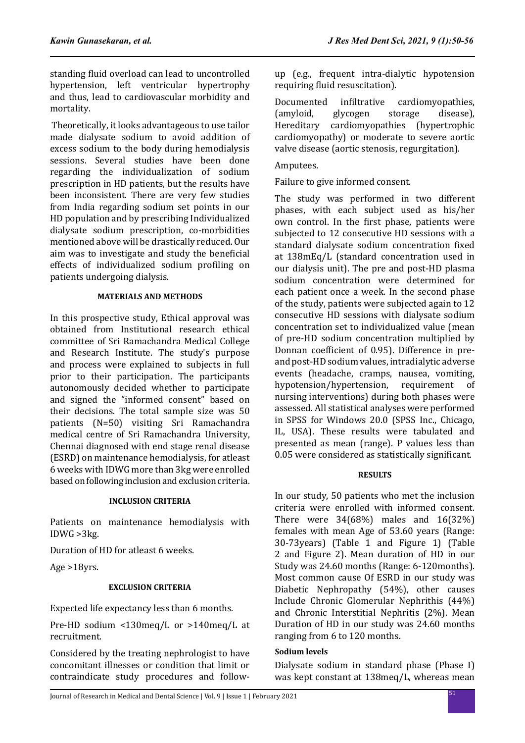standing fluid overload can lead to uncontrolled hypertension, left ventricular hypertrophy and thus, lead to cardiovascular morbidity and mortality.

 Theoretically, it looks advantageous to use tailor made dialysate sodium to avoid addition of excess sodium to the body during hemodialysis sessions. Several studies have been done regarding the individualization of sodium prescription in HD patients, but the results have been inconsistent. There are very few studies from India regarding sodium set points in our HD population and by prescribing Individualized dialysate sodium prescription, co-morbidities mentioned above will be drastically reduced. Our aim was to investigate and study the beneficial effects of individualized sodium profiling on patients undergoing dialysis.

# **MATERIALS AND METHODS**

In this prospective study, Ethical approval was obtained from Institutional research ethical committee of Sri Ramachandra Medical College and Research Institute. The study's purpose and process were explained to subjects in full prior to their participation. The participants autonomously decided whether to participate and signed the "informed consent" based on their decisions. The total sample size was 50 patients (N=50) visiting Sri Ramachandra medical centre of Sri Ramachandra University, Chennai diagnosed with end stage renal disease (ESRD) on maintenance hemodialysis, for atleast 6 weeks with IDWG more than 3kg were enrolled based on following inclusion and exclusion criteria.

#### **INCLUSION CRITERIA**

Patients on maintenance hemodialysis with IDWG >3kg.

Duration of HD for atleast 6 weeks.

Age >18yrs.

# **EXCLUSION CRITERIA**

Expected life expectancy less than 6 months.

Pre-HD sodium <130meq/L or >140meq/L at recruitment.

Considered by the treating nephrologist to have concomitant illnesses or condition that limit or contraindicate study procedures and followup (e.g., frequent intra-dialytic hypotension requiring fluid resuscitation).

Documented infiltrative cardiomyopathies,<br>(amyloid, glycogen storage disease), (amyloid, glycogen storage disease), Hereditary cardiomyopathies (hypertrophic cardiomyopathy) or moderate to severe aortic valve disease (aortic stenosis, regurgitation).

Amputees.

Failure to give informed consent.

The study was performed in two different phases, with each subject used as his/her own control. In the first phase, patients were subjected to 12 consecutive HD sessions with a standard dialysate sodium concentration fixed at 138mEq/L (standard concentration used in our dialysis unit). The pre and post-HD plasma sodium concentration were determined for each patient once a week. In the second phase of the study, patients were subjected again to 12 consecutive HD sessions with dialysate sodium concentration set to individualized value (mean of pre-HD sodium concentration multiplied by Donnan coefficient of 0.95). Difference in preand post-HD sodium values, intradialytic adverse events (headache, cramps, nausea, vomiting,<br>hypotension/hypertension. requirement of hypotension/hypertension, requirement nursing interventions) during both phases were assessed. All statistical analyses were performed in SPSS for Windows 20.0 (SPSS Inc., Chicago, IL, USA). These results were tabulated and presented as mean (range). P values less than 0.05 were considered as statistically significant.

# **RESULTS**

In our study, 50 patients who met the inclusion criteria were enrolled with informed consent. There were 34(68%) males and 16(32%) females with mean Age of 53.60 years (Range: 30-73years) (Table 1 and Figure 1) (Table 2 and Figure 2). Mean duration of HD in our Study was 24.60 months (Range: 6-120months). Most common cause Of ESRD in our study was Diabetic Nephropathy (54%), other causes Include Chronic Glomerular Nephrithis (44%) and Chronic Interstitial Nephritis (2%). Mean Duration of HD in our study was 24.60 months ranging from 6 to 120 months.

# **Sodium levels**

Dialysate sodium in standard phase (Phase I) was kept constant at 138meq/L, whereas mean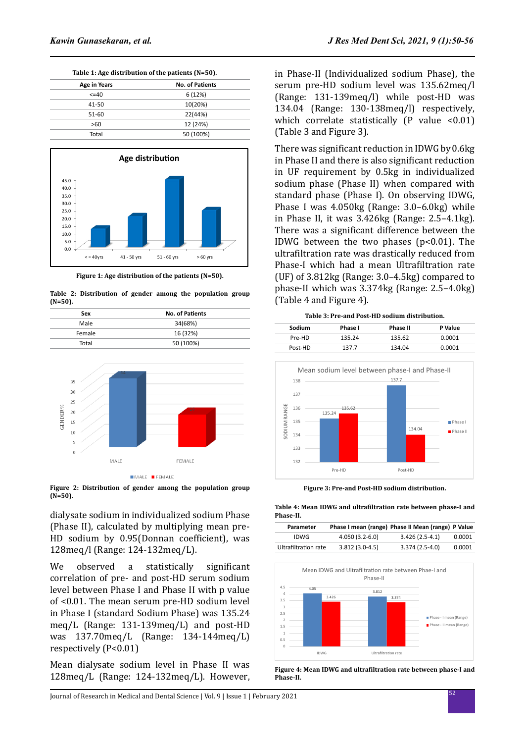**Table 1: Age distribution of the patients (N=50).**

| Age in Years | <b>No. of Patients</b> |  |  |
|--------------|------------------------|--|--|
| $\leq$ = 40  | 6(12%)                 |  |  |
| 41-50        | 10(20%)                |  |  |
| 51-60        | 22(44%)                |  |  |
| >60          | 12 (24%)               |  |  |
| Total        | 50 (100%)              |  |  |



**Figure 1: Age distribution of the patients (N=50).**

**Table 2: Distribution of gender among the population group (N=50).**

| Sex    | <b>No. of Patients</b> |  |
|--------|------------------------|--|
| Male   |                        |  |
|        | 34(68%)                |  |
| Female | 16 (32%)               |  |
| Total  | 50 (100%)              |  |



**Figure 2: Distribution of gender among the population group (N=50).**

dialysate sodium in individualized sodium Phase (Phase II), calculated by multiplying mean pre-HD sodium by 0.95(Donnan coefficient), was 128meq/l (Range: 124-132meq/L).

We observed a statistically significant correlation of pre- and post-HD serum sodium level between Phase I and Phase II with p value of <0.01. The mean serum pre-HD sodium level in Phase I (standard Sodium Phase) was 135.24 meq/L (Range: 131-139meq/L) and post-HD was 137.70meq/L (Range: 134-144meq/L) respectively (P<0.01)

Mean dialysate sodium level in Phase II was 128meq/L (Range: 124-132meq/L). However, in Phase-II (Individualized sodium Phase), the serum pre-HD sodium level was 135.62meq/l (Range: 131-139meq/l) while post-HD was 134.04 (Range: 130-138meq/l) respectively, which correlate statistically  $(P$  value <0.01) (Table 3 and Figure 3).

There was significant reduction in IDWG by 0.6kg in Phase II and there is also significant reduction in UF requirement by 0.5kg in individualized sodium phase (Phase II) when compared with standard phase (Phase I). On observing IDWG, Phase I was 4.050kg (Range: 3.0–6.0kg) while in Phase II, it was 3.426kg (Range: 2.5–4.1kg). There was a significant difference between the IDWG between the two phases  $(p<0.01)$ . The ultrafiltration rate was drastically reduced from Phase-I which had a mean Ultrafiltration rate (UF) of 3.812kg (Range: 3.0–4.5kg) compared to phase-II which was 3.374kg (Range: 2.5–4.0kg) (Table 4 and Figure 4).



**Figure 3: Pre-and Post-HD sodium distribution.**

**Table 4: Mean IDWG and ultrafiltration rate between phase-I and Phase-II.**

| Parameter            |                  | Phase I mean (range) Phase II Mean (range) P Value |        |
|----------------------|------------------|----------------------------------------------------|--------|
| IDWG                 | $4.050(3.2-6.0)$ | $3.426(2.5-4.1)$                                   | 0.0001 |
| Ultrafiltration rate | $3.812(3.0-4.5)$ | $3.374(2.5-4.0)$                                   | 0.0001 |



**Figure 4: Mean IDWG and ultrafiltration rate between phase-I and Phase-II.**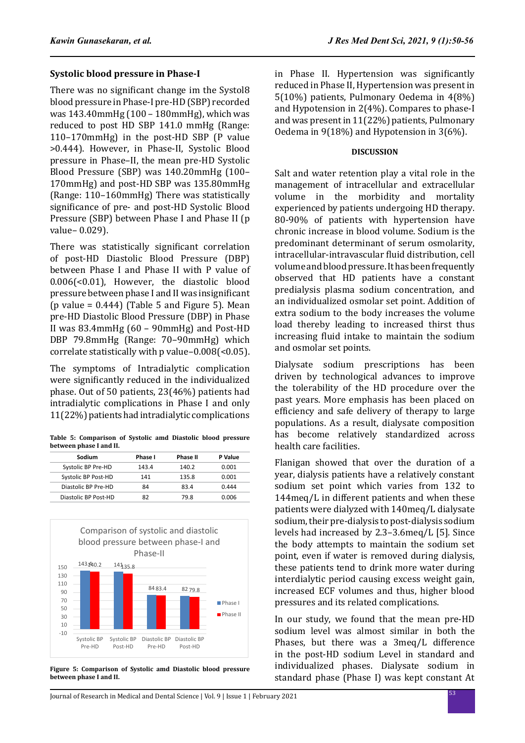# **Systolic blood pressure in Phase-I**

There was no significant change im the Systol8 blood pressure in Phase-I pre-HD (SBP) recorded was 143.40mmHg (100 – 180mmHg), which was reduced to post HD SBP 141.0 mmHg (Range: 110–170mmHg) in the post-HD SBP (P value >0.444). However, in Phase-II, Systolic Blood pressure in Phase–II, the mean pre-HD Systolic Blood Pressure (SBP) was 140.20mmHg (100– 170mmHg) and post-HD SBP was 135.80mmHg (Range: 110–160mmHg) There was statistically significance of pre- and post-HD Systolic Blood Pressure (SBP) between Phase I and Phase II (p value– 0.029).

There was statistically significant correlation of post-HD Diastolic Blood Pressure (DBP) between Phase I and Phase II with P value of 0.006(<0.01), However, the diastolic blood pressure between phase I and II was insignificant (p value =  $0.444$ ) (Table 5 and Figure 5). Mean pre-HD Diastolic Blood Pressure (DBP) in Phase II was 83.4mmHg (60 – 90mmHg) and Post-HD DBP 79.8mmHg (Range: 70–90mmHg) which correlate statistically with p value–0.008(<0.05).

The symptoms of Intradialytic complication were significantly reduced in the individualized phase. Out of 50 patients, 23(46%) patients had intradialytic complications in Phase I and only 11(22%) patients had intradialytic complications

**Table 5: Comparison of Systolic amd Diastolic blood pressure between phase I and II.**

| Sodium               | Phase I | <b>Phase II</b> | P Value |
|----------------------|---------|-----------------|---------|
| Systolic BP Pre-HD   | 143.4   | 140.2           | 0.001   |
| Systolic BP Post-HD  | 141     | 135.8           | 0.001   |
| Diastolic BP Pre-HD  | 84      | 83.4            | 0.444   |
| Diastolic BP Post-HD | 87      | 79.8            | 0.006   |



**Figure 5: Comparison of Systolic amd Diastolic blood pressure between phase I and II.**

in Phase II. Hypertension was significantly reduced in Phase II, Hypertension was present in 5(10%) patients, Pulmonary Oedema in 4(8%) and Hypotension in 2(4%). Compares to phase-I and was present in 11(22%) patients, Pulmonary Oedema in 9(18%) and Hypotension in 3(6%).

#### **DISCUSSION**

Salt and water retention play a vital role in the management of intracellular and extracellular volume in the morbidity and mortality experienced by patients undergoing HD therapy. 80-90% of patients with hypertension have chronic increase in blood volume. Sodium is the predominant determinant of serum osmolarity, intracellular-intravascular fluid distribution, cell volume and blood pressure. It has been frequently observed that HD patients have a constant predialysis plasma sodium concentration, and an individualized osmolar set point. Addition of extra sodium to the body increases the volume load thereby leading to increased thirst thus increasing fluid intake to maintain the sodium and osmolar set points.

Dialysate sodium prescriptions has been driven by technological advances to improve the tolerability of the HD procedure over the past years. More emphasis has been placed on efficiency and safe delivery of therapy to large populations. As a result, dialysate composition has become relatively standardized across health care facilities.

Flanigan showed that over the duration of a year, dialysis patients have a relatively constant sodium set point which varies from 132 to 144meq/L in different patients and when these patients were dialyzed with 140meq/L dialysate sodium, their pre-dialysis to post-dialysis sodium levels had increased by 2.3–3.6meq/L [5]. Since the body attempts to maintain the sodium set point, even if water is removed during dialysis, these patients tend to drink more water during interdialytic period causing excess weight gain, increased ECF volumes and thus, higher blood pressures and its related complications.

In our study, we found that the mean pre-HD sodium level was almost similar in both the Phases, but there was a 3meq/L difference in the post-HD sodium Level in standard and individualized phases. Dialysate sodium in standard phase (Phase I) was kept constant At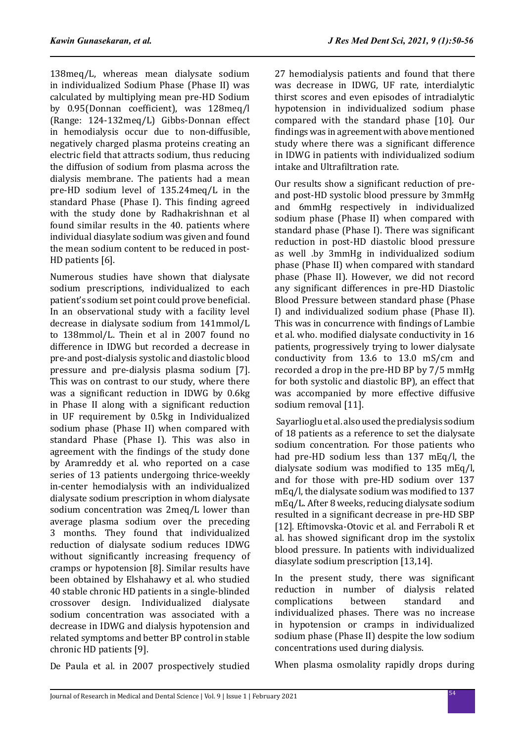138meq/L, whereas mean dialysate sodium in individualized Sodium Phase (Phase II) was calculated by multiplying mean pre-HD Sodium by 0.95(Donnan coefficient), was 128meq/l (Range: 124-132meq/L) Gibbs-Donnan effect in hemodialysis occur due to non-diffusible, negatively charged plasma proteins creating an electric field that attracts sodium, thus reducing the diffusion of sodium from plasma across the dialysis membrane. The patients had a mean pre-HD sodium level of 135.24meq/L in the standard Phase (Phase I). This finding agreed with the study done by Radhakrishnan et al found similar results in the 40. patients where individual diasylate sodium was given and found the mean sodium content to be reduced in post-HD patients [6].

Numerous studies have shown that dialysate sodium prescriptions, individualized to each patient's sodium set point could prove beneficial. In an observational study with a facility level decrease in dialysate sodium from 141mmol/L to 138mmol/L. Thein et al in 2007 found no difference in IDWG but recorded a decrease in pre-and post-dialysis systolic and diastolic blood pressure and pre-dialysis plasma sodium [7]. This was on contrast to our study, where there was a significant reduction in IDWG by 0.6kg in Phase II along with a significant reduction in UF requirement by 0.5kg in Individualized sodium phase (Phase II) when compared with standard Phase (Phase I). This was also in agreement with the findings of the study done by Aramreddy et al. who reported on a case series of 13 patients undergoing thrice-weekly in-center hemodialysis with an individualized dialysate sodium prescription in whom dialysate sodium concentration was 2meq/L lower than average plasma sodium over the preceding 3 months. They found that individualized reduction of dialysate sodium reduces IDWG without significantly increasing frequency of cramps or hypotension [8]. Similar results have been obtained by Elshahawy et al. who studied 40 stable chronic HD patients in a single-blinded crossover design. Individualized dialysate sodium concentration was associated with a decrease in IDWG and dialysis hypotension and related symptoms and better BP control in stable chronic HD patients [9].

27 hemodialysis patients and found that there was decrease in IDWG, UF rate, interdialytic thirst scores and even episodes of intradialytic hypotension in individualized sodium phase compared with the standard phase [10]. Our findings was in agreement with above mentioned study where there was a significant difference in IDWG in patients with individualized sodium intake and Ultrafiltration rate.

Our results show a significant reduction of preand post-HD systolic blood pressure by 3mmHg and 6mmHg respectively in individualized sodium phase (Phase II) when compared with standard phase (Phase I). There was significant reduction in post-HD diastolic blood pressure as well .by 3mmHg in individualized sodium phase (Phase II) when compared with standard phase (Phase II). However, we did not record any significant differences in pre-HD Diastolic Blood Pressure between standard phase (Phase I) and individualized sodium phase (Phase II). This was in concurrence with findings of Lambie et al. who. modified dialysate conductivity in 16 patients, progressively trying to lower dialysate conductivity from 13.6 to 13.0 mS/cm and recorded a drop in the pre-HD BP by 7/5 mmHg for both systolic and diastolic BP), an effect that was accompanied by more effective diffusive sodium removal [11].

 Sayarlioglu et al. also used the predialysis sodium of 18 patients as a reference to set the dialysate sodium concentration. For those patients who had pre-HD sodium less than 137 mEq/l, the dialysate sodium was modified to 135 mEq/l, and for those with pre-HD sodium over 137 mEq/l, the dialysate sodium was modified to 137 mEq/L. After 8 weeks, reducing dialysate sodium resulted in a significant decrease in pre-HD SBP [12]. Eftimovska-Otovic et al. and Ferraboli R et al. has showed significant drop im the systolix blood pressure. In patients with individualized diasylate sodium prescription [13,14].

In the present study, there was significant reduction in number of dialysis related<br>complications between standard and complications between standard and individualized phases. There was no increase in hypotension or cramps in individualized sodium phase (Phase II) despite the low sodium concentrations used during dialysis.

De Paula et al. in 2007 prospectively studied

When plasma osmolality rapidly drops during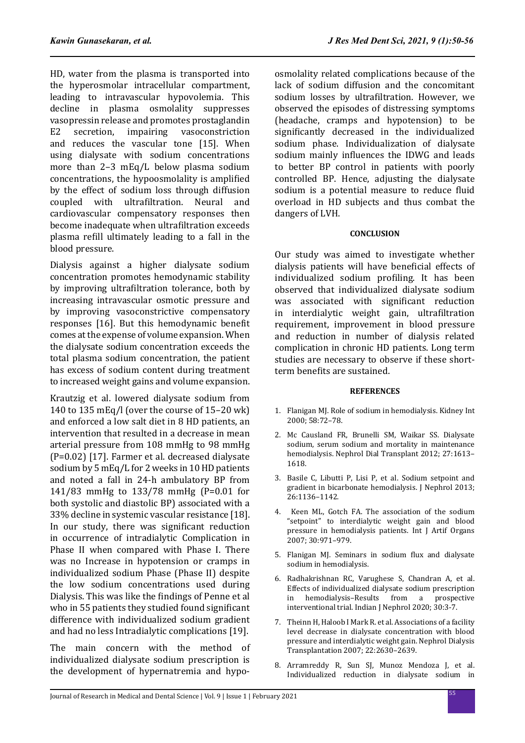HD, water from the plasma is transported into the hyperosmolar intracellular compartment, leading to intravascular hypovolemia. This decline in plasma osmolality suppresses vasopressin release and promotes prostaglandin<br>E2 secretion. impairing vasoconstriction vasoconstriction and reduces the vascular tone [15]. When using dialysate with sodium concentrations more than 2–3 mEq/L below plasma sodium concentrations, the hypoosmolality is amplified by the effect of sodium loss through diffusion<br>counled with ultrafiltration. Neural and coupled with ultrafiltration. Neural cardiovascular compensatory responses then become inadequate when ultrafiltration exceeds plasma refill ultimately leading to a fall in the blood pressure.

Dialysis against a higher dialysate sodium concentration promotes hemodynamic stability by improving ultrafiltration tolerance, both by increasing intravascular osmotic pressure and by improving vasoconstrictive compensatory responses [16]. But this hemodynamic benefit comes at the expense of volume expansion. When the dialysate sodium concentration exceeds the total plasma sodium concentration, the patient has excess of sodium content during treatment to increased weight gains and volume expansion.

Krautzig et al. lowered dialysate sodium from 140 to 135 mEq/l (over the course of 15–20 wk) and enforced a low salt diet in 8 HD patients, an intervention that resulted in a decrease in mean arterial pressure from 108 mmHg to 98 mmHg (P=0.02) [17]. Farmer et al. decreased dialysate sodium by 5 mEq/L for 2 weeks in 10 HD patients and noted a fall in 24-h ambulatory BP from 141/83 mmHg to 133/78 mmHg (P=0.01 for both systolic and diastolic BP) associated with a 33% decline in systemic vascular resistance [18]. In our study, there was significant reduction in occurrence of intradialytic Complication in Phase II when compared with Phase I. There was no Increase in hypotension or cramps in individualized sodium Phase (Phase II) despite the low sodium concentrations used during Dialysis. This was like the findings of Penne et al who in 55 patients they studied found significant difference with individualized sodium gradient and had no less Intradialytic complications [19].

The main concern with the method of individualized dialysate sodium prescription is the development of hypernatremia and hypoosmolality related complications because of the lack of sodium diffusion and the concomitant sodium losses by ultrafiltration. However, we observed the episodes of distressing symptoms (headache, cramps and hypotension) to be significantly decreased in the individualized sodium phase. Individualization of dialysate sodium mainly influences the IDWG and leads to better BP control in patients with poorly controlled BP. Hence, adjusting the dialysate sodium is a potential measure to reduce fluid overload in HD subjects and thus combat the dangers of LVH.

#### **CONCLUSION**

Our study was aimed to investigate whether dialysis patients will have beneficial effects of individualized sodium profiling. It has been observed that individualized dialysate sodium was associated with significant reduction in interdialytic weight gain, ultrafiltration requirement, improvement in blood pressure and reduction in number of dialysis related complication in chronic HD patients. Long term studies are necessary to observe if these shortterm benefits are sustained.

#### **REFERENCES**

- 1. Flanigan MJ. Role of sodium in hemodialysis. Kidney Int 2000; 58:72–78.
- 2. Mc Causland FR, Brunelli SM, Waikar SS. Dialysate sodium, serum sodium and mortality in maintenance hemodialysis. Nephrol Dial Transplant 2012; 27:1613– 1618.
- 3. Basile C, Libutti P, Lisi P, et al. Sodium setpoint and gradient in bicarbonate hemodialysis. J Nephrol 2013; 26:1136–1142.
- 4. Keen ML, Gotch FA. The association of the sodium "setpoint" to interdialytic weight gain and blood pressure in hemodialysis patients. Int J Artif Organs 2007; 30:971–979.
- 5. Flanigan MJ. Seminars in sodium flux and dialysate sodium in hemodialysis.
- 6. Radhakrishnan RC, Varughese S, Chandran A, et al. Effects of individualized dialysate sodium prescription<br>in hemodialysis–Results from a prospective from a prospective interventional trial. Indian J Nephrol 2020; 30:3-7.
- 7. Theinn H, Haloob I Mark R. et al. Associations of a facility level decrease in dialysate concentration with blood pressure and interdialytic weight gain. Nephrol Dialysis Transplantation 2007; 22:2630–2639.
- 8. Arramreddy R, Sun SJ, Munoz Mendoza J, et al. Individualized reduction in dialysate sodium in